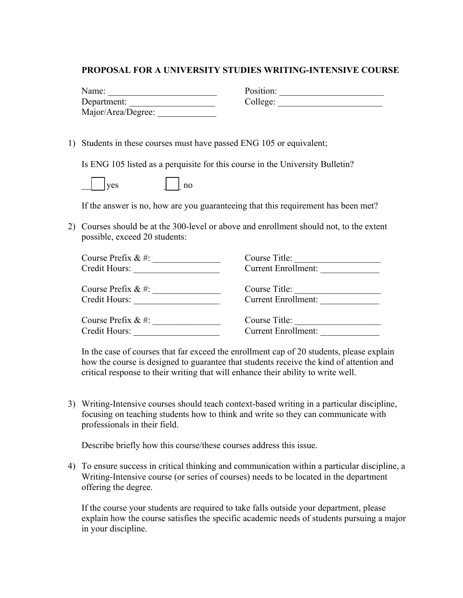## **PROPOSAL FOR A UNIVERSITY STUDIES WRITING-INTENSIVE COURSE**

| Name:              |  |
|--------------------|--|
| Department:        |  |
| Major/Area/Degree: |  |

Name: \_\_\_\_\_\_\_\_\_\_\_\_\_\_\_\_\_\_\_\_\_\_\_\_ Position: \_\_\_\_\_\_\_\_\_\_\_\_\_\_\_\_\_\_\_\_\_\_\_ Department: \_\_\_\_\_\_\_\_\_\_\_\_\_\_\_\_\_\_\_ College: \_\_\_\_\_\_\_\_\_\_\_\_\_\_\_\_\_\_\_\_\_\_\_

1) Students in these courses must have passed ENG 105 or equivalent;

Is ENG 105 listed as a perquisite for this course in the University Bulletin?

| 7P <sub>S</sub> | n۵ |
|-----------------|----|
|-----------------|----|

If the answer is no, how are you guaranteeing that this requirement has been met?

2) Courses should be at the 300-level or above and enrollment should not, to the extent possible, exceed 20 students:

| Course Prefix $\& \#$ : | Course Title:              |
|-------------------------|----------------------------|
| Credit Hours:           | <b>Current Enrollment:</b> |
| Course Prefix $\& \#$ : | Course Title:              |
| Credit Hours:           | <b>Current Enrollment:</b> |
| Course Prefix $\& \#$ : | Course Title:              |
| Credit Hours:           | <b>Current Enrollment:</b> |

In the case of courses that far exceed the enrollment cap of 20 students, please explain how the course is designed to guarantee that students receive the kind of attention and critical response to their writing that will enhance their ability to write well.

3) Writing-Intensive courses should teach context-based writing in a particular discipline, focusing on teaching students how to think and write so they can communicate with professionals in their field.

Describe briefly how this course/these courses address this issue.

4) To ensure success in critical thinking and communication within a particular discipline, a Writing-Intensive course (or series of courses) needs to be located in the department offering the degree.

If the course your students are required to take falls outside your department, please explain how the course satisfies the specific academic needs of students pursuing a major in your discipline.